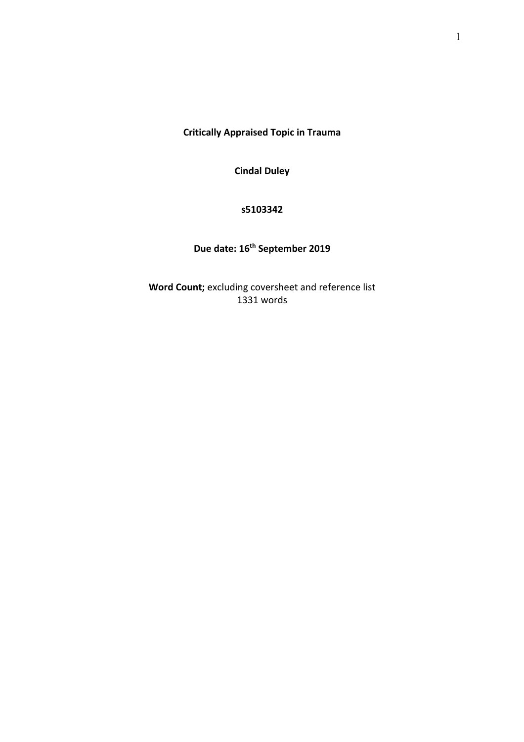**Critically Appraised Topic in Trauma**

**Cindal Duley**

## **s5103342**

# **Due date: 16th September 2019**

**Word Count;** excluding coversheet and reference list 1331 words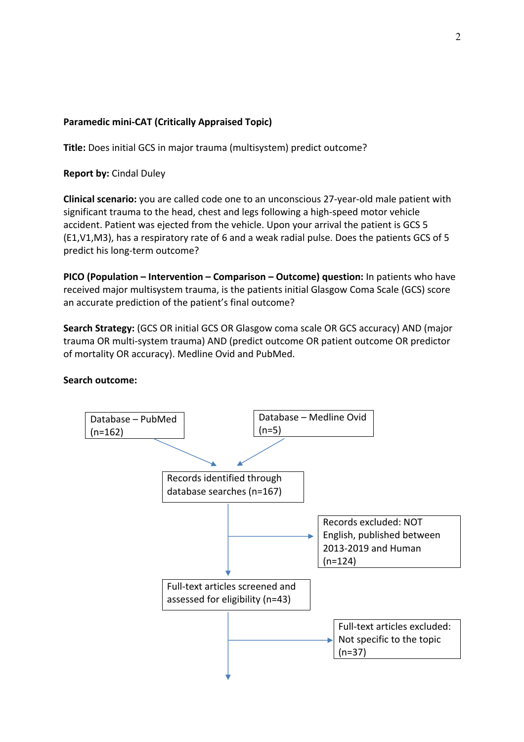# **Paramedic mini-CAT (Critically Appraised Topic)**

**Title:** Does initial GCS in major trauma (multisystem) predict outcome?

**Report by:** Cindal Duley

**Clinical scenario:** you are called code one to an unconscious 27-year-old male patient with significant trauma to the head, chest and legs following a high-speed motor vehicle accident. Patient was ejected from the vehicle. Upon your arrival the patient is GCS 5 (E1,V1,M3), has a respiratory rate of 6 and a weak radial pulse. Does the patients GCS of 5 predict his long-term outcome?

**PICO (Population – Intervention – Comparison – Outcome) question:** In patients who have received major multisystem trauma, is the patients initial Glasgow Coma Scale (GCS) score an accurate prediction of the patient's final outcome?

**Search Strategy:** (GCS OR initial GCS OR Glasgow coma scale OR GCS accuracy) AND (major trauma OR multi-system trauma) AND (predict outcome OR patient outcome OR predictor of mortality OR accuracy). Medline Ovid and PubMed.

### **Search outcome:**

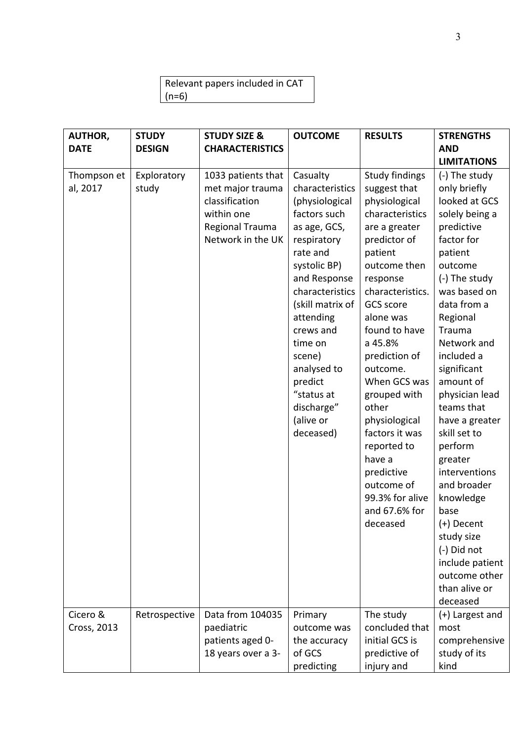| Relevant papers included in CAT |
|---------------------------------|
| $(n=6)$                         |

| <b>AUTHOR,</b>                      | <b>STUDY</b>                          | <b>STUDY SIZE &amp;</b>                                                                                                            | <b>OUTCOME</b>                                                                                                                                                                                                                                                                                                            | <b>RESULTS</b>                                                                                                                                                                                                                                                                                                                                                                                                                                         | <b>STRENGTHS</b>                                                                                                                                                                                                                                                                                                                                                                                                                                                                                                              |
|-------------------------------------|---------------------------------------|------------------------------------------------------------------------------------------------------------------------------------|---------------------------------------------------------------------------------------------------------------------------------------------------------------------------------------------------------------------------------------------------------------------------------------------------------------------------|--------------------------------------------------------------------------------------------------------------------------------------------------------------------------------------------------------------------------------------------------------------------------------------------------------------------------------------------------------------------------------------------------------------------------------------------------------|-------------------------------------------------------------------------------------------------------------------------------------------------------------------------------------------------------------------------------------------------------------------------------------------------------------------------------------------------------------------------------------------------------------------------------------------------------------------------------------------------------------------------------|
| <b>DATE</b>                         | <b>DESIGN</b>                         | <b>CHARACTERISTICS</b>                                                                                                             |                                                                                                                                                                                                                                                                                                                           |                                                                                                                                                                                                                                                                                                                                                                                                                                                        | <b>AND</b>                                                                                                                                                                                                                                                                                                                                                                                                                                                                                                                    |
|                                     |                                       |                                                                                                                                    |                                                                                                                                                                                                                                                                                                                           |                                                                                                                                                                                                                                                                                                                                                                                                                                                        | <b>LIMITATIONS</b>                                                                                                                                                                                                                                                                                                                                                                                                                                                                                                            |
| Thompson et<br>al, 2017<br>Cicero & | Exploratory<br>study<br>Retrospective | 1033 patients that<br>met major trauma<br>classification<br>within one<br>Regional Trauma<br>Network in the UK<br>Data from 104035 | Casualty<br>characteristics<br>(physiological<br>factors such<br>as age, GCS,<br>respiratory<br>rate and<br>systolic BP)<br>and Response<br>characteristics<br>(skill matrix of<br>attending<br>crews and<br>time on<br>scene)<br>analysed to<br>predict<br>"status at<br>discharge"<br>(alive or<br>deceased)<br>Primary | <b>Study findings</b><br>suggest that<br>physiological<br>characteristics<br>are a greater<br>predictor of<br>patient<br>outcome then<br>response<br>characteristics.<br>GCS score<br>alone was<br>found to have<br>a 45.8%<br>prediction of<br>outcome.<br>When GCS was<br>grouped with<br>other<br>physiological<br>factors it was<br>reported to<br>have a<br>predictive<br>outcome of<br>99.3% for alive<br>and 67.6% for<br>deceased<br>The study | (-) The study<br>only briefly<br>looked at GCS<br>solely being a<br>predictive<br>factor for<br>patient<br>outcome<br>(-) The study<br>was based on<br>data from a<br>Regional<br>Trauma<br>Network and<br>included a<br>significant<br>amount of<br>physician lead<br>teams that<br>have a greater<br>skill set to<br>perform<br>greater<br>interventions<br>and broader<br>knowledge<br>base<br>(+) Decent<br>study size<br>(-) Did not<br>include patient<br>outcome other<br>than alive or<br>deceased<br>(+) Largest and |
| Cross, 2013                         |                                       | paediatric                                                                                                                         | outcome was                                                                                                                                                                                                                                                                                                               | concluded that                                                                                                                                                                                                                                                                                                                                                                                                                                         | most                                                                                                                                                                                                                                                                                                                                                                                                                                                                                                                          |
|                                     |                                       | patients aged 0-                                                                                                                   | the accuracy                                                                                                                                                                                                                                                                                                              | initial GCS is                                                                                                                                                                                                                                                                                                                                                                                                                                         | comprehensive                                                                                                                                                                                                                                                                                                                                                                                                                                                                                                                 |
|                                     |                                       | 18 years over a 3-                                                                                                                 | of GCS                                                                                                                                                                                                                                                                                                                    | predictive of                                                                                                                                                                                                                                                                                                                                                                                                                                          | study of its                                                                                                                                                                                                                                                                                                                                                                                                                                                                                                                  |
|                                     |                                       |                                                                                                                                    | predicting                                                                                                                                                                                                                                                                                                                | injury and                                                                                                                                                                                                                                                                                                                                                                                                                                             | kind                                                                                                                                                                                                                                                                                                                                                                                                                                                                                                                          |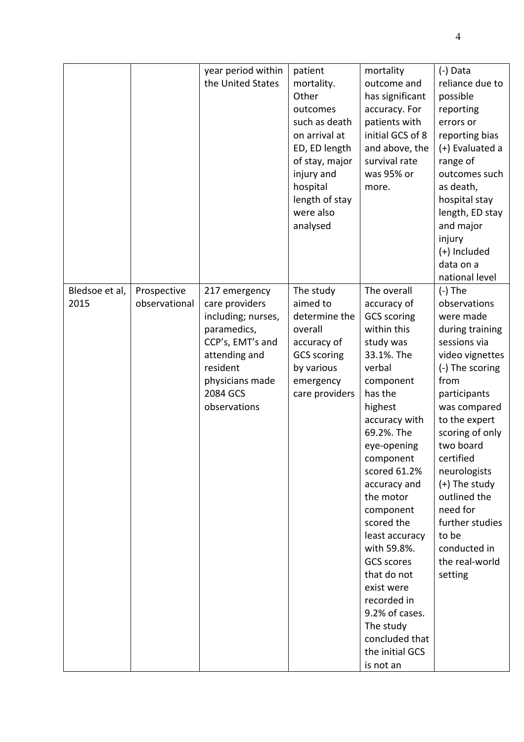|                |               | year period within | patient            | mortality          | (-) Data        |
|----------------|---------------|--------------------|--------------------|--------------------|-----------------|
|                |               | the United States  | mortality.         | outcome and        | reliance due to |
|                |               |                    | Other              | has significant    | possible        |
|                |               |                    | outcomes           | accuracy. For      | reporting       |
|                |               |                    | such as death      | patients with      | errors or       |
|                |               |                    | on arrival at      | initial GCS of 8   | reporting bias  |
|                |               |                    | ED, ED length      | and above, the     | (+) Evaluated a |
|                |               |                    | of stay, major     | survival rate      | range of        |
|                |               |                    | injury and         | was 95% or         | outcomes such   |
|                |               |                    | hospital           | more.              | as death,       |
|                |               |                    | length of stay     |                    | hospital stay   |
|                |               |                    | were also          |                    | length, ED stay |
|                |               |                    | analysed           |                    | and major       |
|                |               |                    |                    |                    | injury          |
|                |               |                    |                    |                    | (+) Included    |
|                |               |                    |                    |                    | data on a       |
|                |               |                    |                    |                    | national level  |
| Bledsoe et al, | Prospective   | 217 emergency      | The study          | The overall        | $(-)$ The       |
| 2015           | observational | care providers     | aimed to           | accuracy of        | observations    |
|                |               | including; nurses, | determine the      | <b>GCS</b> scoring | were made       |
|                |               | paramedics,        | overall            | within this        | during training |
|                |               | CCP's, EMT's and   | accuracy of        | study was          | sessions via    |
|                |               | attending and      | <b>GCS</b> scoring | 33.1%. The         | video vignettes |
|                |               | resident           | by various         | verbal             | (-) The scoring |
|                |               | physicians made    | emergency          | component          | from            |
|                |               | 2084 GCS           | care providers     | has the            | participants    |
|                |               | observations       |                    | highest            | was compared    |
|                |               |                    |                    | accuracy with      | to the expert   |
|                |               |                    |                    | 69.2%. The         | scoring of only |
|                |               |                    |                    | eye-opening        | two board       |
|                |               |                    |                    | component          | certified       |
|                |               |                    |                    | scored 61.2%       | neurologists    |
|                |               |                    |                    | accuracy and       | $(+)$ The study |
|                |               |                    |                    | the motor          | outlined the    |
|                |               |                    |                    | component          | need for        |
|                |               |                    |                    | scored the         | further studies |
|                |               |                    |                    | least accuracy     | to be           |
|                |               |                    |                    | with 59.8%.        | conducted in    |
|                |               |                    |                    | <b>GCS scores</b>  | the real-world  |
|                |               |                    |                    | that do not        | setting         |
|                |               |                    |                    | exist were         |                 |
|                |               |                    |                    | recorded in        |                 |
|                |               |                    |                    | 9.2% of cases.     |                 |
|                |               |                    |                    | The study          |                 |
|                |               |                    |                    | concluded that     |                 |
|                |               |                    |                    | the initial GCS    |                 |
|                |               |                    |                    | is not an          |                 |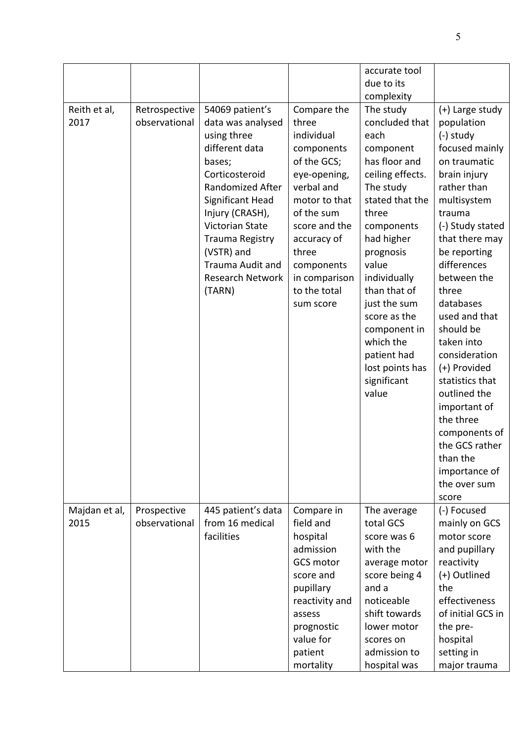| Reith et al,<br>2017  | Retrospective<br>observational | 54069 patient's<br>data was analysed<br>using three<br>different data<br>bases;<br>Corticosteroid<br>Randomized After<br>Significant Head<br>Injury (CRASH),<br>Victorian State<br>Trauma Registry<br>(VSTR) and<br>Trauma Audit and<br><b>Research Network</b><br>(TARN) | Compare the<br>three<br>individual<br>components<br>of the GCS;<br>eye-opening,<br>verbal and<br>motor to that<br>of the sum<br>score and the<br>accuracy of<br>three<br>components<br>in comparison<br>to the total<br>sum score | accurate tool<br>due to its<br>complexity<br>The study<br>concluded that<br>each<br>component<br>has floor and<br>ceiling effects.<br>The study<br>stated that the<br>three<br>components<br>had higher<br>prognosis<br>value<br>individually<br>than that of<br>just the sum<br>score as the<br>component in<br>which the<br>patient had<br>lost points has<br>significant<br>value | (+) Large study<br>population<br>$(-)$ study<br>focused mainly<br>on traumatic<br>brain injury<br>rather than<br>multisystem<br>trauma<br>(-) Study stated<br>that there may<br>be reporting<br>differences<br>between the<br>three<br>databases<br>used and that<br>should be<br>taken into<br>consideration<br>(+) Provided<br>statistics that<br>outlined the<br>important of<br>the three<br>components of<br>the GCS rather<br>than the<br>importance of |
|-----------------------|--------------------------------|---------------------------------------------------------------------------------------------------------------------------------------------------------------------------------------------------------------------------------------------------------------------------|-----------------------------------------------------------------------------------------------------------------------------------------------------------------------------------------------------------------------------------|--------------------------------------------------------------------------------------------------------------------------------------------------------------------------------------------------------------------------------------------------------------------------------------------------------------------------------------------------------------------------------------|---------------------------------------------------------------------------------------------------------------------------------------------------------------------------------------------------------------------------------------------------------------------------------------------------------------------------------------------------------------------------------------------------------------------------------------------------------------|
| Majdan et al,<br>2015 | Prospective<br>observational   | 445 patient's data<br>from 16 medical<br>facilities                                                                                                                                                                                                                       | Compare in<br>field and<br>hospital<br>admission<br><b>GCS motor</b><br>score and<br>pupillary<br>reactivity and<br>assess<br>prognostic<br>value for<br>patient<br>mortality                                                     | The average<br>total GCS<br>score was 6<br>with the<br>average motor<br>score being 4<br>and a<br>noticeable<br>shift towards<br>lower motor<br>scores on<br>admission to<br>hospital was                                                                                                                                                                                            | the over sum<br>score<br>(-) Focused<br>mainly on GCS<br>motor score<br>and pupillary<br>reactivity<br>(+) Outlined<br>the<br>effectiveness<br>of initial GCS in<br>the pre-<br>hospital<br>setting in<br>major trauma                                                                                                                                                                                                                                        |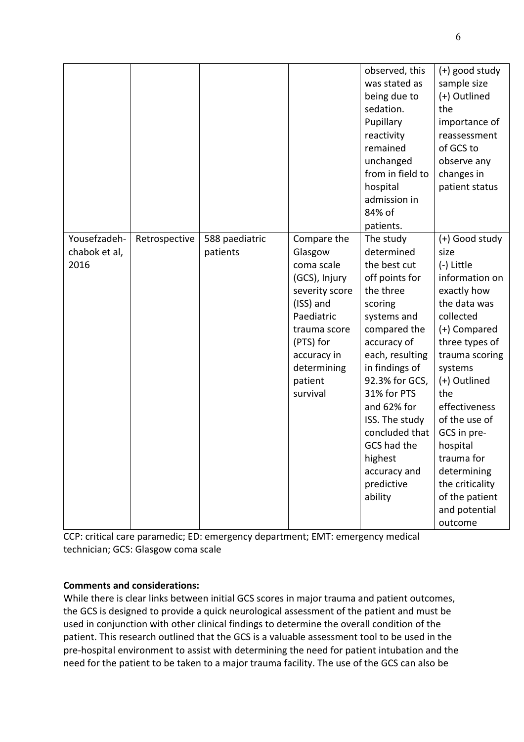|               |               |                |                | observed, this   | $(+)$ good study |
|---------------|---------------|----------------|----------------|------------------|------------------|
|               |               |                |                | was stated as    | sample size      |
|               |               |                |                | being due to     | (+) Outlined     |
|               |               |                |                | sedation.        | the              |
|               |               |                |                | Pupillary        | importance of    |
|               |               |                |                | reactivity       | reassessment     |
|               |               |                |                | remained         | of GCS to        |
|               |               |                |                | unchanged        | observe any      |
|               |               |                |                | from in field to | changes in       |
|               |               |                |                | hospital         | patient status   |
|               |               |                |                | admission in     |                  |
|               |               |                |                | 84% of           |                  |
|               |               |                |                | patients.        |                  |
| Yousefzadeh-  | Retrospective | 588 paediatric | Compare the    | The study        | (+) Good study   |
| chabok et al, |               | patients       | Glasgow        | determined       | size             |
| 2016          |               |                | coma scale     | the best cut     | (-) Little       |
|               |               |                | (GCS), Injury  | off points for   | information on   |
|               |               |                | severity score | the three        | exactly how      |
|               |               |                | (ISS) and      | scoring          | the data was     |
|               |               |                | Paediatric     | systems and      | collected        |
|               |               |                | trauma score   | compared the     | (+) Compared     |
|               |               |                | (PTS) for      | accuracy of      | three types of   |
|               |               |                | accuracy in    | each, resulting  | trauma scoring   |
|               |               |                | determining    | in findings of   | systems          |
|               |               |                | patient        | 92.3% for GCS,   | (+) Outlined     |
|               |               |                | survival       | 31% for PTS      | the              |
|               |               |                |                | and 62% for      | effectiveness    |
|               |               |                |                | ISS. The study   | of the use of    |
|               |               |                |                | concluded that   | GCS in pre-      |
|               |               |                |                | GCS had the      | hospital         |
|               |               |                |                | highest          | trauma for       |
|               |               |                |                | accuracy and     | determining      |
|               |               |                |                | predictive       | the criticality  |
|               |               |                |                | ability          | of the patient   |
|               |               |                |                |                  | and potential    |
|               |               |                |                |                  | outcome          |

CCP: critical care paramedic; ED: emergency department; EMT: emergency medical technician; GCS: Glasgow coma scale

## **Comments and considerations:**

While there is clear links between initial GCS scores in major trauma and patient outcomes, the GCS is designed to provide a quick neurological assessment of the patient and must be used in conjunction with other clinical findings to determine the overall condition of the patient. This research outlined that the GCS is a valuable assessment tool to be used in the pre-hospital environment to assist with determining the need for patient intubation and the need for the patient to be taken to a major trauma facility. The use of the GCS can also be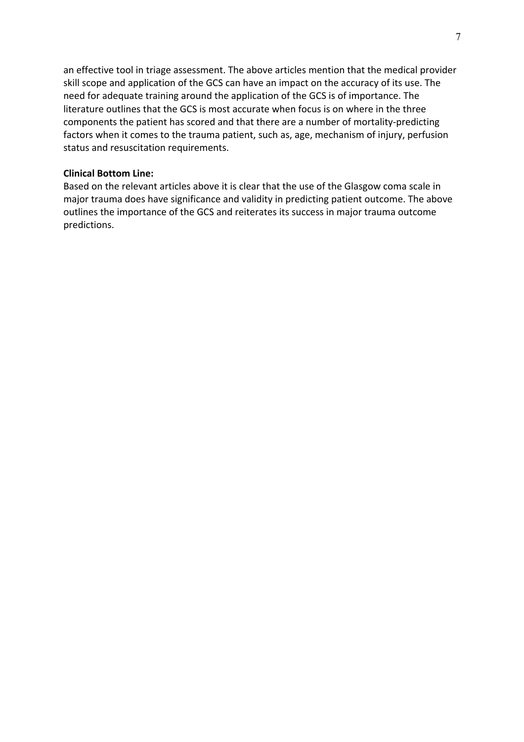an effective tool in triage assessment. The above articles mention that the medical provider skill scope and application of the GCS can have an impact on the accuracy of its use. The need for adequate training around the application of the GCS is of importance. The literature outlines that the GCS is most accurate when focus is on where in the three components the patient has scored and that there are a number of mortality-predicting factors when it comes to the trauma patient, such as, age, mechanism of injury, perfusion status and resuscitation requirements.

#### **Clinical Bottom Line:**

Based on the relevant articles above it is clear that the use of the Glasgow coma scale in major trauma does have significance and validity in predicting patient outcome. The above outlines the importance of the GCS and reiterates its success in major trauma outcome predictions.